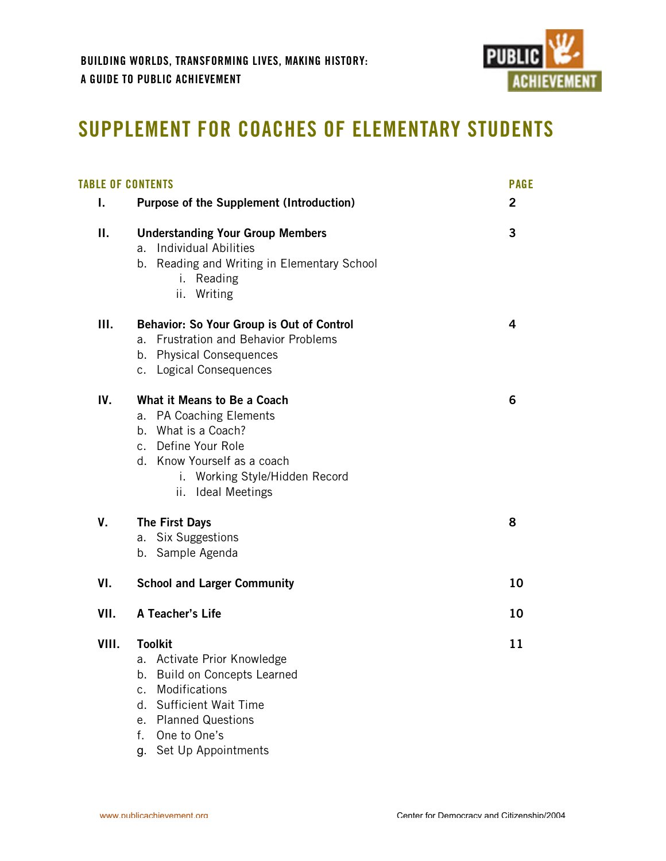

# **SUPPLEMENT FOR COACHES OF ELEMENTARY STUDENTS**

| <b>TABLE OF CONTENTS</b> |                                                                                                                                                                                                                                          | <b>PAGE</b>    |
|--------------------------|------------------------------------------------------------------------------------------------------------------------------------------------------------------------------------------------------------------------------------------|----------------|
| ı.                       | <b>Purpose of the Supplement (Introduction)</b>                                                                                                                                                                                          | $\overline{2}$ |
| П.                       | <b>Understanding Your Group Members</b><br><b>Individual Abilities</b><br>a.<br>Reading and Writing in Elementary School<br>b.<br>i. Reading<br>ii. Writing                                                                              | 3              |
| Ш.                       | Behavior: So Your Group is Out of Control<br><b>Frustration and Behavior Problems</b><br>a.<br>b. Physical Consequences<br>c. Logical Consequences                                                                                       | 4              |
| IV.                      | What it Means to Be a Coach<br>PA Coaching Elements<br>а.<br>b. What is a Coach?<br>c. Define Your Role<br>d. Know Yourself as a coach<br>i. Working Style/Hidden Record<br>ii. Ideal Meetings                                           | 6              |
| V.                       | The First Days<br>a. Six Suggestions<br>b. Sample Agenda                                                                                                                                                                                 | 8              |
| VI.                      | <b>School and Larger Community</b>                                                                                                                                                                                                       | 10             |
| VII.                     | A Teacher's Life                                                                                                                                                                                                                         | 10             |
| VIII.                    | <b>Toolkit</b><br>a. Activate Prior Knowledge<br><b>Build on Concepts Learned</b><br>b.<br>Modifications<br>c.<br><b>Sufficient Wait Time</b><br>d.<br><b>Planned Questions</b><br>е.<br>One to One's<br>f.<br>Set Up Appointments<br>g. | 11             |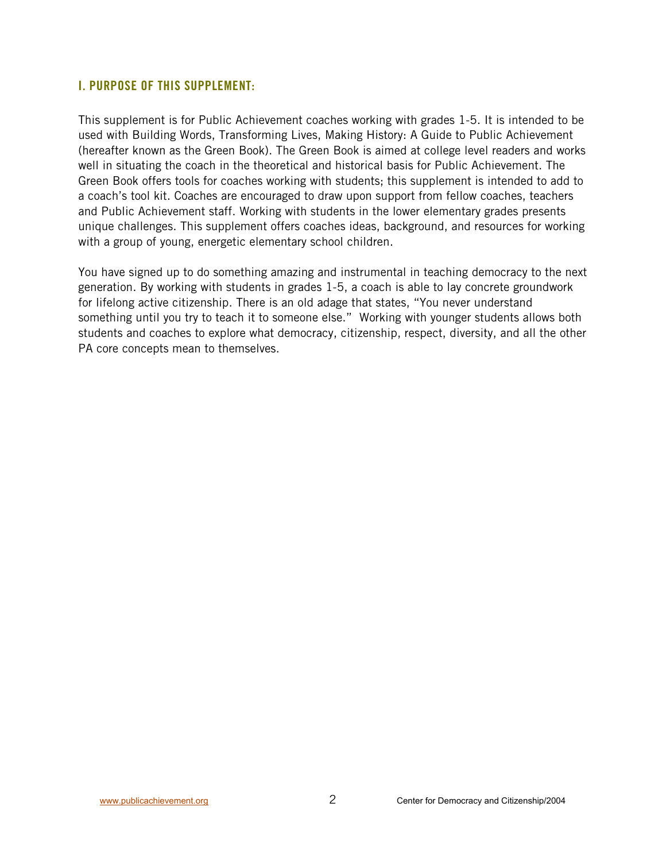# **I. PURPOSE OF THIS SUPPLEMENT:**

This supplement is for Public Achievement coaches working with grades 1-5. It is intended to be used with Building Words, Transforming Lives, Making History: A Guide to Public Achievement (hereafter known as the Green Book). The Green Book is aimed at college level readers and works well in situating the coach in the theoretical and historical basis for Public Achievement. The Green Book offers tools for coaches working with students; this supplement is intended to add to a coach's tool kit. Coaches are encouraged to draw upon support from fellow coaches, teachers and Public Achievement staff. Working with students in the lower elementary grades presents unique challenges. This supplement offers coaches ideas, background, and resources for working with a group of young, energetic elementary school children.

You have signed up to do something amazing and instrumental in teaching democracy to the next generation. By working with students in grades 1-5, a coach is able to lay concrete groundwork for lifelong active citizenship. There is an old adage that states, "You never understand something until you try to teach it to someone else." Working with younger students allows both students and coaches to explore what democracy, citizenship, respect, diversity, and all the other PA core concepts mean to themselves.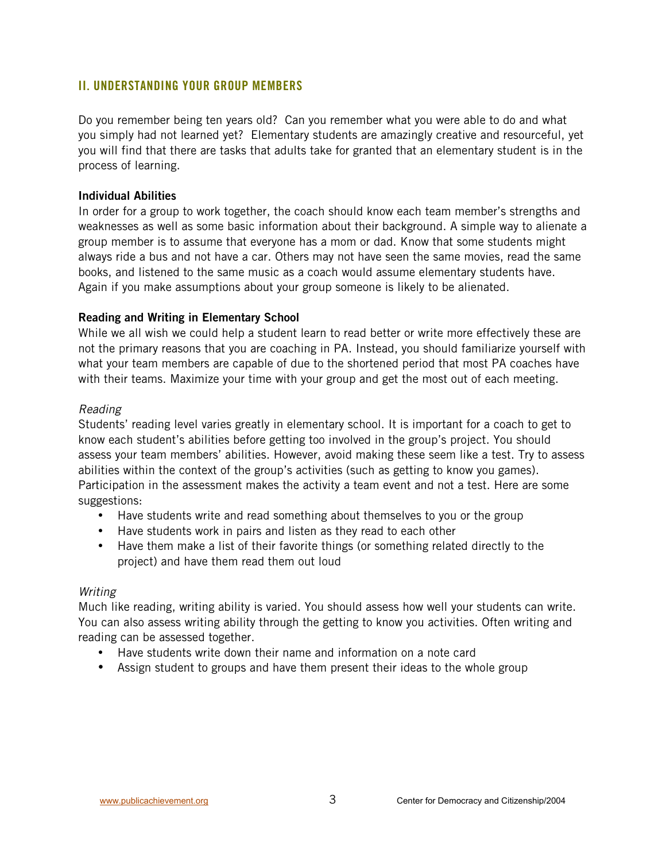# **II. UNDERSTANDING YOUR GROUP MEMBERS**

Do you remember being ten years old? Can you remember what you were able to do and what you simply had not learned yet? Elementary students are amazingly creative and resourceful, yet you will find that there are tasks that adults take for granted that an elementary student is in the process of learning.

#### **Individual Abilities**

In order for a group to work together, the coach should know each team member's strengths and weaknesses as well as some basic information about their background. A simple way to alienate a group member is to assume that everyone has a mom or dad. Know that some students might always ride a bus and not have a car. Others may not have seen the same movies, read the same books, and listened to the same music as a coach would assume elementary students have. Again if you make assumptions about your group someone is likely to be alienated.

#### **Reading and Writing in Elementary School**

While we all wish we could help a student learn to read better or write more effectively these are not the primary reasons that you are coaching in PA. Instead, you should familiarize yourself with what your team members are capable of due to the shortened period that most PA coaches have with their teams. Maximize your time with your group and get the most out of each meeting.

#### *Reading*

Students' reading level varies greatly in elementary school. It is important for a coach to get to know each student's abilities before getting too involved in the group's project. You should assess your team members' abilities. However, avoid making these seem like a test. Try to assess abilities within the context of the group's activities (such as getting to know you games). Participation in the assessment makes the activity a team event and not a test. Here are some suggestions:

Have students write and read something about themselves to you or the group Have students work in pairs and listen as they read to each other Have them make a list of their favorite things (or something related directly to the project) and have them read them out loud

#### *Writing*

Much like reading, writing ability is varied. You should assess how well your students can write. You can also assess writing ability through the getting to know you activities. Often writing and reading can be assessed together.

Have students write down their name and information on a note card Assign student to groups and have them present their ideas to the whole group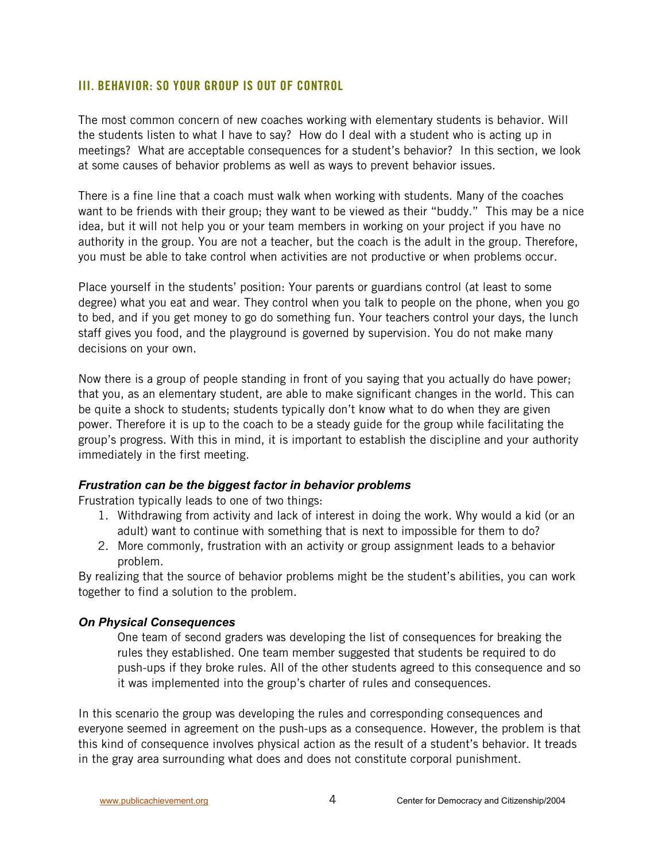# **III. BEHAVIOR: SO YOUR GROUP IS OUT OF CONTROL**

The most common concern of new coaches working with elementary students is behavior. Will the students listen to what I have to say? How do I deal with a student who is acting up in meetings? What are acceptable consequences for a student's behavior? In this section, we look at some causes of behavior problems as well as ways to prevent behavior issues.

There is a fine line that a coach must walk when working with students. Many of the coaches want to be friends with their group; they want to be viewed as their "buddy." This may be a nice idea, but it will not help you or your team members in working on your project if you have no authority in the group. You are not a teacher, but the coach is the adult in the group. Therefore, you must be able to take control when activities are not productive or when problems occur.

Place yourself in the students' position: Your parents or guardians control (at least to some degree) what you eat and wear. They control when you talk to people on the phone, when you go to bed, and if you get money to go do something fun. Your teachers control your days, the lunch staff gives you food, and the playground is governed by supervision. You do not make many decisions on your own.

Now there is a group of people standing in front of you saying that you actually do have power; that you, as an elementary student, are able to make significant changes in the world. This can be quite a shock to students; students typically don't know what to do when they are given power. Therefore it is up to the coach to be a steady guide for the group while facilitating the group's progress. With this in mind, it is important to establish the discipline and your authority immediately in the first meeting.

## *Frustration can be the biggest factor in behavior problems*

Frustration typically leads to one of two things:

- 1. Withdrawing from activity and lack of interest in doing the work. Why would a kid (or an adult) want to continue with something that is next to impossible for them to do?
- 2. More commonly, frustration with an activity or group assignment leads to a behavior problem.

By realizing that the source of behavior problems might be the student's abilities, you can work together to find a solution to the problem.

## *On Physical Consequences*

One team of second graders was developing the list of consequences for breaking the rules they established. One team member suggested that students be required to do push-ups if they broke rules. All of the other students agreed to this consequence and so it was implemented into the group's charter of rules and consequences.

In this scenario the group was developing the rules and corresponding consequences and everyone seemed in agreement on the push-ups as a consequence. However, the problem is that this kind of consequence involves physical action as the result of a student's behavior. It treads in the gray area surrounding what does and does not constitute corporal punishment.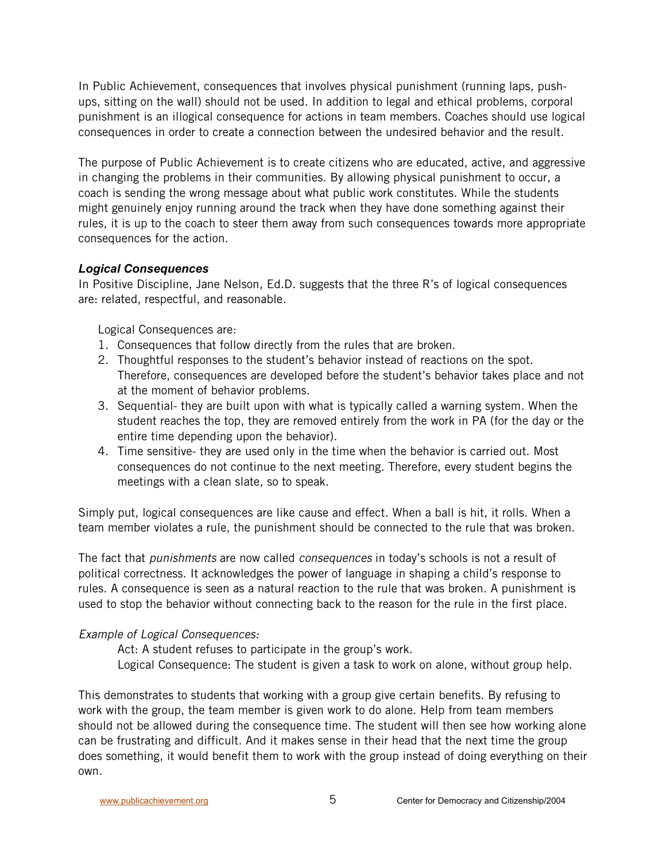In Public Achievement, consequences that involves physical punishment (running laps, pushups, sitting on the wall) should not be used. In addition to legal and ethical problems, corporal punishment is an illogical consequence for actions in team members. Coaches should use logical consequences in order to create a connection between the undesired behavior and the result.

The purpose of Public Achievement is to create citizens who are educated, active, and aggressive in changing the problems in their communities. By allowing physical punishment to occur, a coach is sending the wrong message about what public work constitutes. While the students might genuinely enjoy running around the track when they have done something against their rules, it is up to the coach to steer them away from such consequences towards more appropriate consequences for the action.

## *Logical Consequences*

In Positive Discipline, Jane Nelson, Ed.D. suggests that the three R's of logical consequences are: related, respectful, and reasonable.

Logical Consequences are:

- 1. Consequences that follow directly from the rules that are broken.
- 2. Thoughtful responses to the student's behavior instead of reactions on the spot. Therefore, consequences are developed before the student's behavior takes place and not at the moment of behavior problems.
- 3. Sequential- they are built upon with what is typically called a warning system. When the student reaches the top, they are removed entirely from the work in PA (for the day or the entire time depending upon the behavior).
- 4. Time sensitive- they are used only in the time when the behavior is carried out. Most consequences do not continue to the next meeting. Therefore, every student begins the meetings with a clean slate, so to speak.

Simply put, logical consequences are like cause and effect. When a ball is hit, it rolls. When a team member violates a rule, the punishment should be connected to the rule that was broken.

The fact that *punishments* are now called *consequences* in today's schools is not a result of political correctness. It acknowledges the power of language in shaping a child's response to rules. A consequence is seen as a natural reaction to the rule that was broken. A punishment is used to stop the behavior without connecting back to the reason for the rule in the first place.

# *Example of Logical Consequences:*

Act: A student refuses to participate in the group's work. Logical Consequence: The student is given a task to work on alone, without group help.

This demonstrates to students that working with a group give certain benefits. By refusing to work with the group, the team member is given work to do alone. Help from team members should not be allowed during the consequence time. The student will then see how working alone can be frustrating and difficult. And it makes sense in their head that the next time the group does something, it would benefit them to work with the group instead of doing everything on their own.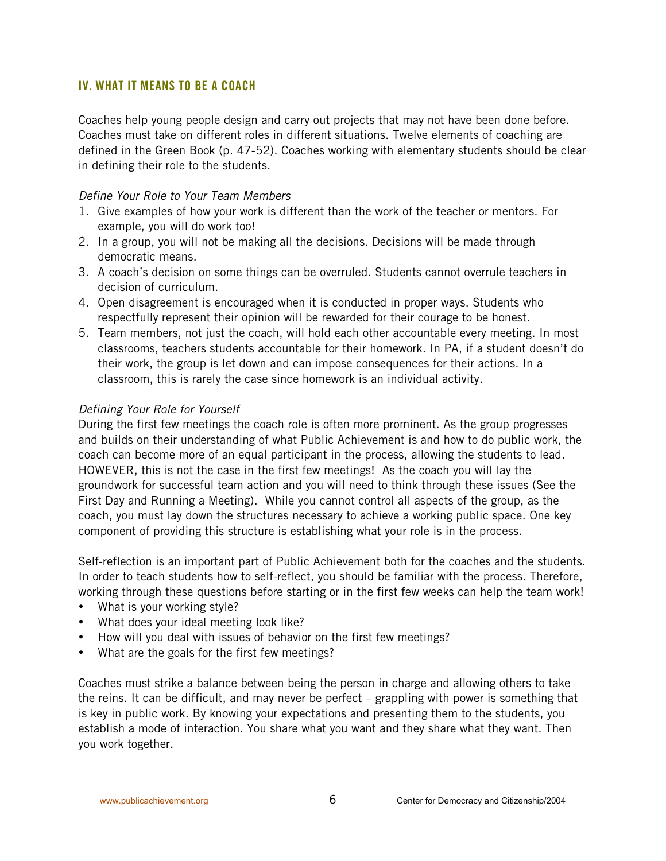## **IV. WHAT IT MEANS TO BE A COACH**

Coaches help young people design and carry out projects that may not have been done before. Coaches must take on different roles in different situations. Twelve elements of coaching are defined in the Green Book (p. 47-52). Coaches working with elementary students should be clear in defining their role to the students.

#### *Define Your Role to Your Team Members*

- 1. Give examples of how your work is different than the work of the teacher or mentors. For example, you will do work too!
- 2. In a group, you will not be making all the decisions. Decisions will be made through democratic means.
- 3. A coach's decision on some things can be overruled. Students cannot overrule teachers in decision of curriculum.
- 4. Open disagreement is encouraged when it is conducted in proper ways. Students who respectfully represent their opinion will be rewarded for their courage to be honest.
- 5. Team members, not just the coach, will hold each other accountable every meeting. In most classrooms, teachers students accountable for their homework. In PA, if a student doesn't do their work, the group is let down and can impose consequences for their actions. In a classroom, this is rarely the case since homework is an individual activity.

## *Defining Your Role for Yourself*

During the first few meetings the coach role is often more prominent. As the group progresses and builds on their understanding of what Public Achievement is and how to do public work, the coach can become more of an equal participant in the process, allowing the students to lead. HOWEVER, this is not the case in the first few meetings! As the coach you will lay the groundwork for successful team action and you will need to think through these issues (See the First Day and Running a Meeting). While you cannot control all aspects of the group, as the coach, you must lay down the structures necessary to achieve a working public space. One key component of providing this structure is establishing what your role is in the process.

Self-reflection is an important part of Public Achievement both for the coaches and the students. In order to teach students how to self-reflect, you should be familiar with the process. Therefore, working through these questions before starting or in the first few weeks can help the team work!

What is your working style?

What does your ideal meeting look like?

How will you deal with issues of behavior on the first few meetings?

What are the goals for the first few meetings?

Coaches must strike a balance between being the person in charge and allowing others to take the reins. It can be difficult, and may never be perfect – grappling with power is something that is key in public work. By knowing your expectations and presenting them to the students, you establish a mode of interaction. You share what you want and they share what they want. Then you work together.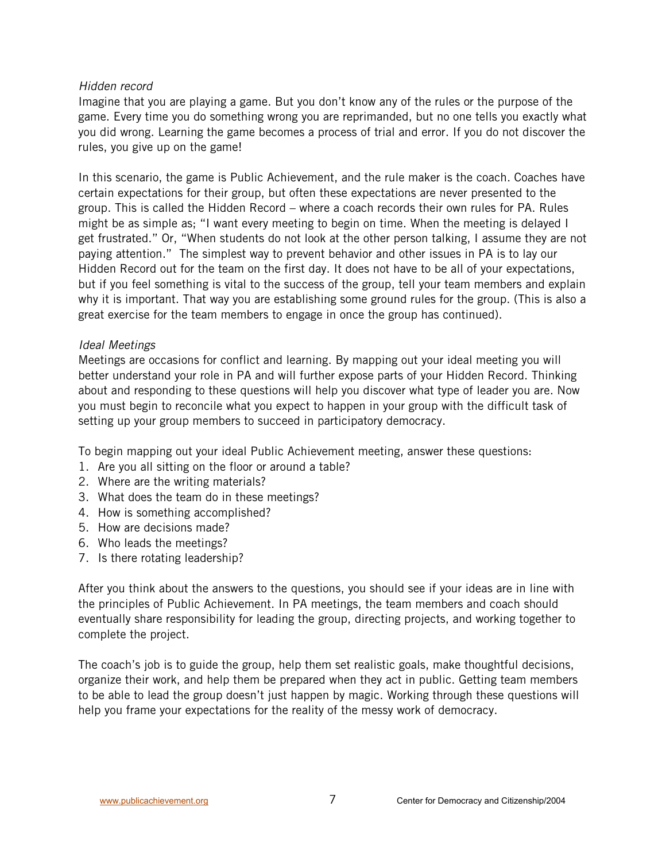## *Hidden record*

Imagine that you are playing a game. But you don't know any of the rules or the purpose of the game. Every time you do something wrong you are reprimanded, but no one tells you exactly what you did wrong. Learning the game becomes a process of trial and error. If you do not discover the rules, you give up on the game!

In this scenario, the game is Public Achievement, and the rule maker is the coach. Coaches have certain expectations for their group, but often these expectations are never presented to the group. This is called the Hidden Record – where a coach records their own rules for PA. Rules might be as simple as; "I want every meeting to begin on time. When the meeting is delayed I get frustrated." Or, "When students do not look at the other person talking, I assume they are not paying attention." The simplest way to prevent behavior and other issues in PA is to lay our Hidden Record out for the team on the first day. It does not have to be all of your expectations, but if you feel something is vital to the success of the group, tell your team members and explain why it is important. That way you are establishing some ground rules for the group. (This is also a great exercise for the team members to engage in once the group has continued).

## *Ideal Meetings*

Meetings are occasions for conflict and learning. By mapping out your ideal meeting you will better understand your role in PA and will further expose parts of your Hidden Record. Thinking about and responding to these questions will help you discover what type of leader you are. Now you must begin to reconcile what you expect to happen in your group with the difficult task of setting up your group members to succeed in participatory democracy.

To begin mapping out your ideal Public Achievement meeting, answer these questions:

- 1. Are you all sitting on the floor or around a table?
- 2. Where are the writing materials?
- 3. What does the team do in these meetings?
- 4. How is something accomplished?
- 5. How are decisions made?
- 6. Who leads the meetings?
- 7. Is there rotating leadership?

After you think about the answers to the questions, you should see if your ideas are in line with the principles of Public Achievement. In PA meetings, the team members and coach should eventually share responsibility for leading the group, directing projects, and working together to complete the project.

The coach's job is to guide the group, help them set realistic goals, make thoughtful decisions, organize their work, and help them be prepared when they act in public. Getting team members to be able to lead the group doesn't just happen by magic. Working through these questions will help you frame your expectations for the reality of the messy work of democracy.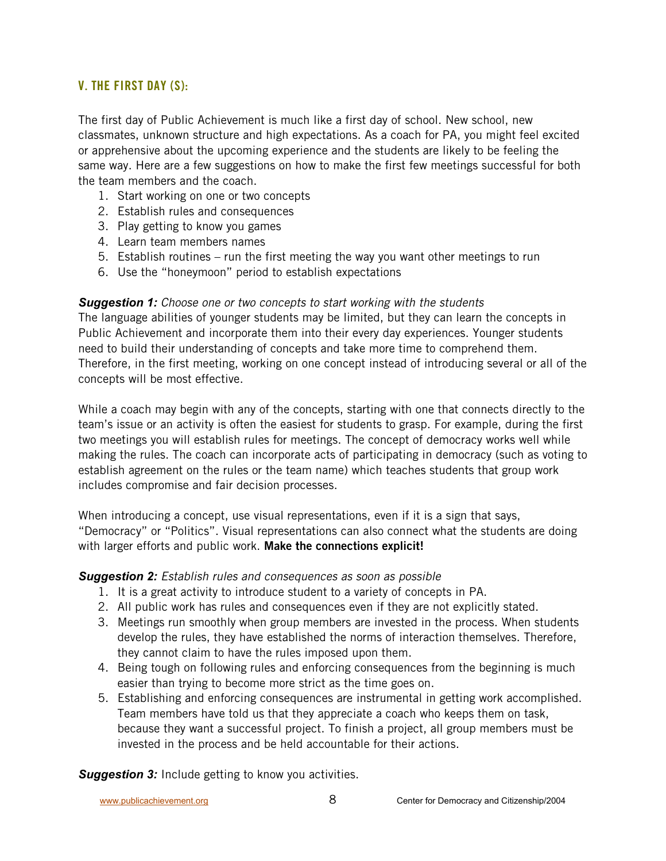# **V. THE FIRST DAY (S):**

The first day of Public Achievement is much like a first day of school. New school, new classmates, unknown structure and high expectations. As a coach for PA, you might feel excited or apprehensive about the upcoming experience and the students are likely to be feeling the same way. Here are a few suggestions on how to make the first few meetings successful for both the team members and the coach.

- 1. Start working on one or two concepts
- 2. Establish rules and consequences
- 3. Play getting to know you games
- 4. Learn team members names
- 5. Establish routines run the first meeting the way you want other meetings to run
- 6. Use the "honeymoon" period to establish expectations

*Suggestion 1: Choose one or two concepts to start working with the students*

The language abilities of younger students may be limited, but they can learn the concepts in Public Achievement and incorporate them into their every day experiences. Younger students need to build their understanding of concepts and take more time to comprehend them. Therefore, in the first meeting, working on one concept instead of introducing several or all of the concepts will be most effective.

While a coach may begin with any of the concepts, starting with one that connects directly to the team's issue or an activity is often the easiest for students to grasp. For example, during the first two meetings you will establish rules for meetings. The concept of democracy works well while making the rules. The coach can incorporate acts of participating in democracy (such as voting to establish agreement on the rules or the team name) which teaches students that group work includes compromise and fair decision processes.

When introducing a concept, use visual representations, even if it is a sign that says, "Democracy" or "Politics". Visual representations can also connect what the students are doing with larger efforts and public work. **Make the connections explicit!**

## *Suggestion 2: Establish rules and consequences as soon as possible*

- 1. It is a great activity to introduce student to a variety of concepts in PA.
- 2. All public work has rules and consequences even if they are not explicitly stated.
- 3. Meetings run smoothly when group members are invested in the process. When students develop the rules, they have established the norms of interaction themselves. Therefore, they cannot claim to have the rules imposed upon them.
- 4. Being tough on following rules and enforcing consequences from the beginning is much easier than trying to become more strict as the time goes on.
- 5. Establishing and enforcing consequences are instrumental in getting work accomplished. Team members have told us that they appreciate a coach who keeps them on task, because they want a successful project. To finish a project, all group members must be invested in the process and be held accountable for their actions.

*Suggestion 3:* Include getting to know you activities.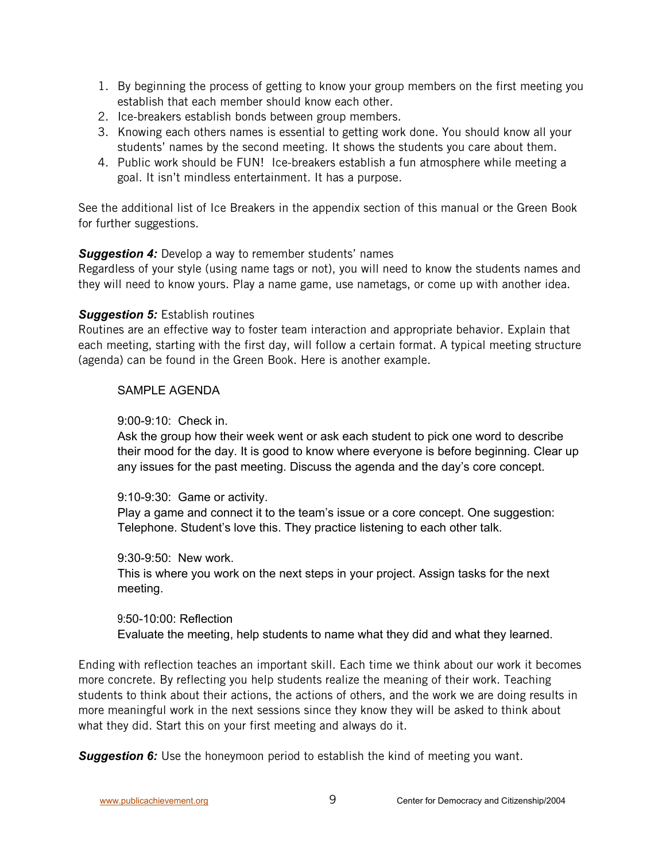- 1. By beginning the process of getting to know your group members on the first meeting you establish that each member should know each other.
- 2. Ice-breakers establish bonds between group members.
- 3. Knowing each others names is essential to getting work done. You should know all your students' names by the second meeting. It shows the students you care about them.
- 4. Public work should be FUN! Ice-breakers establish a fun atmosphere while meeting a goal. It isn't mindless entertainment. It has a purpose.

See the additional list of Ice Breakers in the appendix section of this manual or the Green Book for further suggestions.

## **Suggestion 4:** Develop a way to remember students' names

Regardless of your style (using name tags or not), you will need to know the students names and they will need to know yours. Play a name game, use nametags, or come up with another idea.

# *Suggestion 5:* Establish routines

Routines are an effective way to foster team interaction and appropriate behavior. Explain that each meeting, starting with the first day, will follow a certain format. A typical meeting structure (agenda) can be found in the Green Book. Here is another example.

## SAMPLE AGENDA

9:00-9:10: Check in.

Ask the group how their week went or ask each student to pick one word to describe their mood for the day. It is good to know where everyone is before beginning. Clear up any issues for the past meeting. Discuss the agenda and the day's core concept.

## 9:10-9:30: Game or activity.

Play a game and connect it to the team's issue or a core concept. One suggestion: Telephone. Student's love this. They practice listening to each other talk.

9:30-9:50: New work.

This is where you work on the next steps in your project. Assign tasks for the next meeting.

9:50-10:00: Reflection Evaluate the meeting, help students to name what they did and what they learned.

Ending with reflection teaches an important skill. Each time we think about our work it becomes more concrete. By reflecting you help students realize the meaning of their work. Teaching students to think about their actions, the actions of others, and the work we are doing results in more meaningful work in the next sessions since they know they will be asked to think about what they did. Start this on your first meeting and always do it.

**Suggestion 6:** Use the honeymoon period to establish the kind of meeting you want.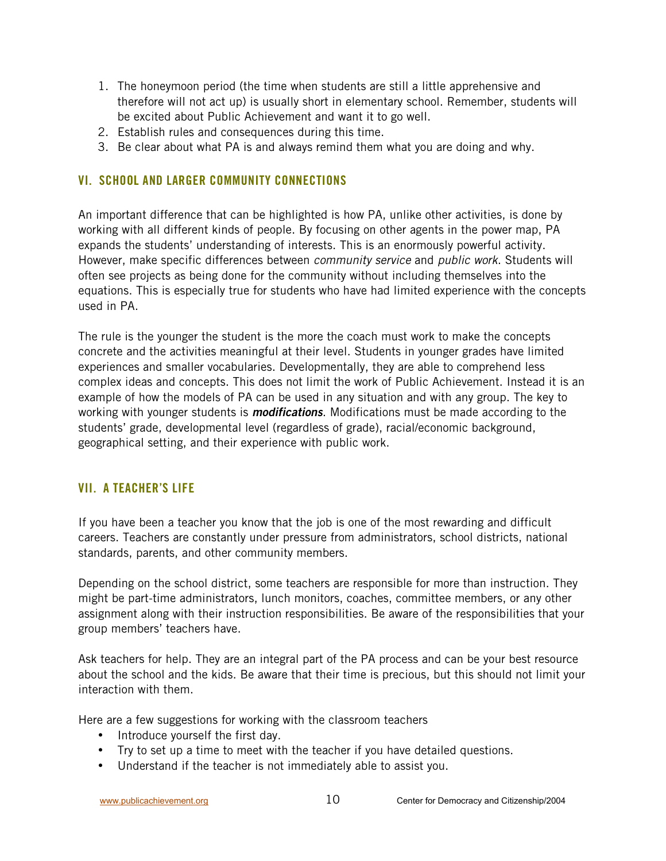- 1. The honeymoon period (the time when students are still a little apprehensive and therefore will not act up) is usually short in elementary school. Remember, students will be excited about Public Achievement and want it to go well.
- 2. Establish rules and consequences during this time.
- 3. Be clear about what PA is and always remind them what you are doing and why.

# **VI. SCHOOL AND LARGER COMMUNITY CONNECTIONS**

An important difference that can be highlighted is how PA, unlike other activities, is done by working with all different kinds of people. By focusing on other agents in the power map, PA expands the students' understanding of interests. This is an enormously powerful activity. However, make specific differences between *community service* and *public work*. Students will often see projects as being done for the community without including themselves into the equations. This is especially true for students who have had limited experience with the concepts used in PA.

The rule is the younger the student is the more the coach must work to make the concepts concrete and the activities meaningful at their level. Students in younger grades have limited experiences and smaller vocabularies. Developmentally, they are able to comprehend less complex ideas and concepts. This does not limit the work of Public Achievement. Instead it is an example of how the models of PA can be used in any situation and with any group. The key to working with younger students is *modifications*. Modifications must be made according to the students' grade, developmental level (regardless of grade), racial/economic background, geographical setting, and their experience with public work.

# **VII. A TEACHER'S LIFE**

If you have been a teacher you know that the job is one of the most rewarding and difficult careers. Teachers are constantly under pressure from administrators, school districts, national standards, parents, and other community members.

Depending on the school district, some teachers are responsible for more than instruction. They might be part-time administrators, lunch monitors, coaches, committee members, or any other assignment along with their instruction responsibilities. Be aware of the responsibilities that your group members' teachers have.

Ask teachers for help. They are an integral part of the PA process and can be your best resource about the school and the kids. Be aware that their time is precious, but this should not limit your interaction with them.

Here are a few suggestions for working with the classroom teachers

Introduce yourself the first day.

Try to set up a time to meet with the teacher if you have detailed questions. Understand if the teacher is not immediately able to assist you.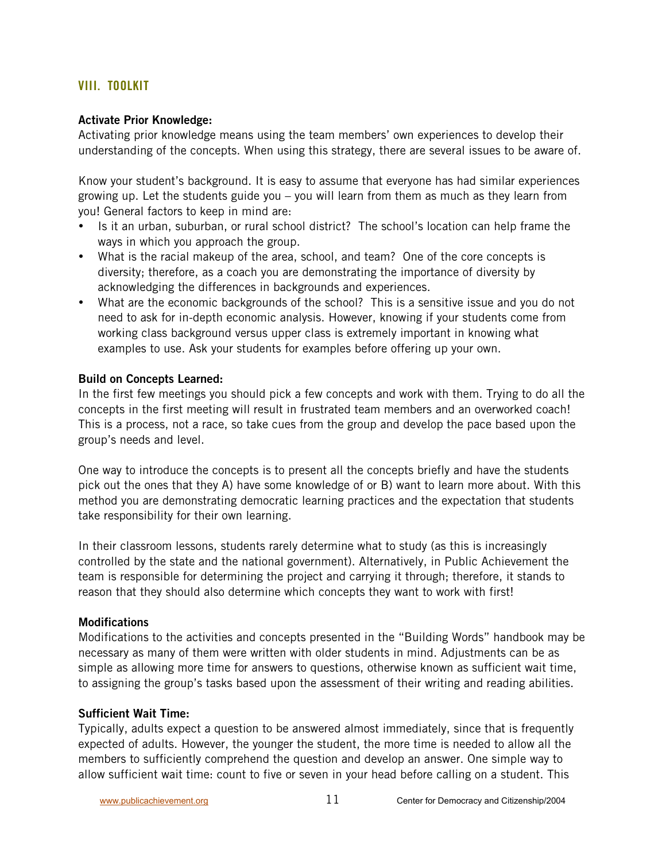# **VIII. TOOLKIT**

#### **Activate Prior Knowledge:**

Activating prior knowledge means using the team members' own experiences to develop their understanding of the concepts. When using this strategy, there are several issues to be aware of.

Know your student's background. It is easy to assume that everyone has had similar experiences growing up. Let the students guide you – you will learn from them as much as they learn from you! General factors to keep in mind are:

Is it an urban, suburban, or rural school district? The school's location can help frame the ways in which you approach the group.

What is the racial makeup of the area, school, and team? One of the core concepts is diversity; therefore, as a coach you are demonstrating the importance of diversity by acknowledging the differences in backgrounds and experiences.

What are the economic backgrounds of the school? This is a sensitive issue and you do not need to ask for in-depth economic analysis. However, knowing if your students come from working class background versus upper class is extremely important in knowing what examples to use. Ask your students for examples before offering up your own.

#### **Build on Concepts Learned:**

In the first few meetings you should pick a few concepts and work with them. Trying to do all the concepts in the first meeting will result in frustrated team members and an overworked coach! This is a process, not a race, so take cues from the group and develop the pace based upon the group's needs and level.

One way to introduce the concepts is to present all the concepts briefly and have the students pick out the ones that they A) have some knowledge of or B) want to learn more about. With this method you are demonstrating democratic learning practices and the expectation that students take responsibility for their own learning.

In their classroom lessons, students rarely determine what to study (as this is increasingly controlled by the state and the national government). Alternatively, in Public Achievement the team is responsible for determining the project and carrying it through; therefore, it stands to reason that they should also determine which concepts they want to work with first!

#### **Modifications**

Modifications to the activities and concepts presented in the "Building Words" handbook may be necessary as many of them were written with older students in mind. Adjustments can be as simple as allowing more time for answers to questions, otherwise known as sufficient wait time, to assigning the group's tasks based upon the assessment of their writing and reading abilities.

## **Sufficient Wait Time:**

Typically, adults expect a question to be answered almost immediately, since that is frequently expected of adults. However, the younger the student, the more time is needed to allow all the members to sufficiently comprehend the question and develop an answer. One simple way to allow sufficient wait time: count to five or seven in your head before calling on a student. This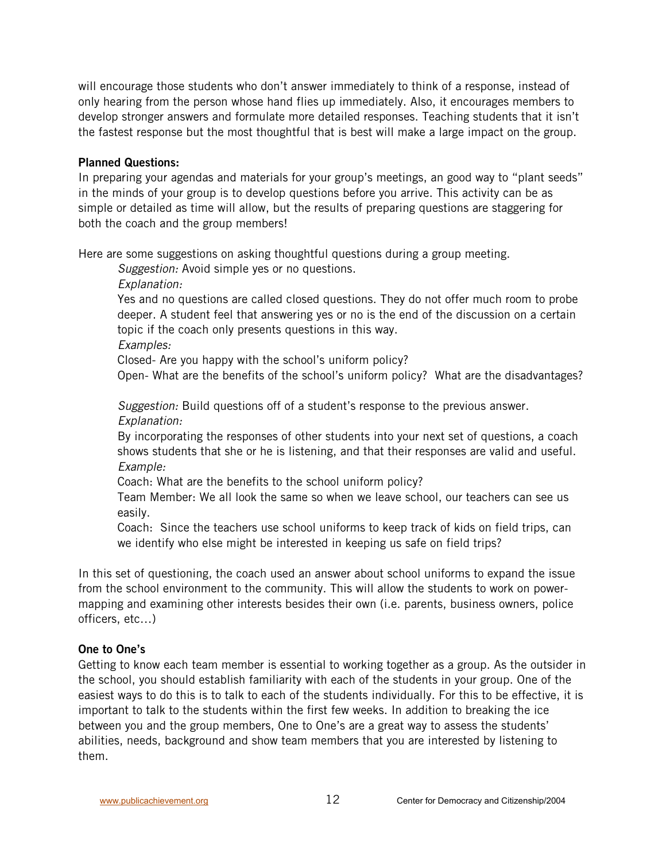will encourage those students who don't answer immediately to think of a response, instead of only hearing from the person whose hand flies up immediately. Also, it encourages members to develop stronger answers and formulate more detailed responses. Teaching students that it isn't the fastest response but the most thoughtful that is best will make a large impact on the group.

#### **Planned Questions:**

In preparing your agendas and materials for your group's meetings, an good way to "plant seeds" in the minds of your group is to develop questions before you arrive. This activity can be as simple or detailed as time will allow, but the results of preparing questions are staggering for both the coach and the group members!

Here are some suggestions on asking thoughtful questions during a group meeting.

*Suggestion:* Avoid simple yes or no questions.

*Explanation:*

Yes and no questions are called closed questions. They do not offer much room to probe deeper. A student feel that answering yes or no is the end of the discussion on a certain topic if the coach only presents questions in this way.

*Examples:*

Closed- Are you happy with the school's uniform policy?

Open- What are the benefits of the school's uniform policy? What are the disadvantages?

*Suggestion:* Build questions off of a student's response to the previous answer. *Explanation:*

By incorporating the responses of other students into your next set of questions, a coach shows students that she or he is listening, and that their responses are valid and useful. *Example:*

Coach: What are the benefits to the school uniform policy?

Team Member: We all look the same so when we leave school, our teachers can see us easily.

Coach: Since the teachers use school uniforms to keep track of kids on field trips, can we identify who else might be interested in keeping us safe on field trips?

In this set of questioning, the coach used an answer about school uniforms to expand the issue from the school environment to the community. This will allow the students to work on powermapping and examining other interests besides their own (i.e. parents, business owners, police officers, etc…)

## **One to One's**

Getting to know each team member is essential to working together as a group. As the outsider in the school, you should establish familiarity with each of the students in your group. One of the easiest ways to do this is to talk to each of the students individually. For this to be effective, it is important to talk to the students within the first few weeks. In addition to breaking the ice between you and the group members, One to One's are a great way to assess the students' abilities, needs, background and show team members that you are interested by listening to them.